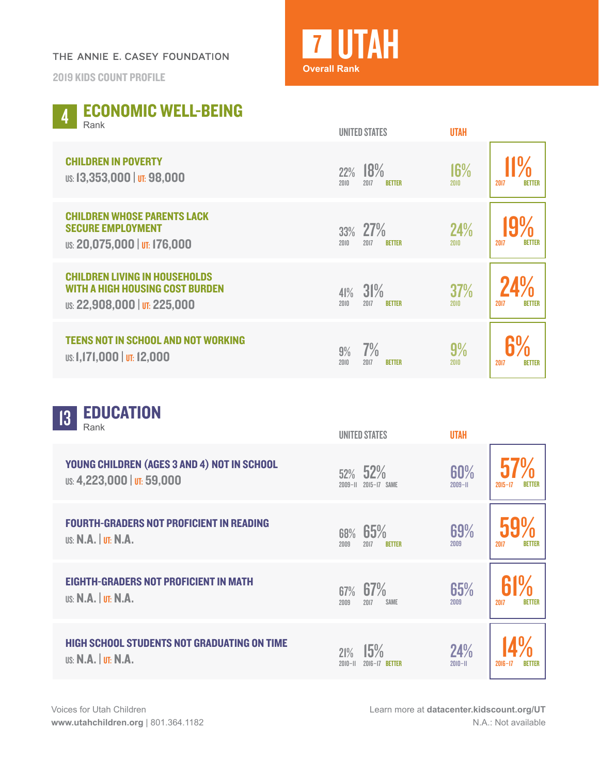## THE ANNIE E. CASEY FOUNDATION

2019 KIDS COUNT PROFILE



|  |                     | 4 ECONOMIC WELL-BEING |
|--|---------------------|-----------------------|
|  | $\blacksquare$ Rank |                       |

| 11011N                                                                                                         | <b>UNITED STATES</b>                        | <b>UTAH</b>        |                       |
|----------------------------------------------------------------------------------------------------------------|---------------------------------------------|--------------------|-----------------------|
| <b>CHILDREN IN POVERTY</b><br>US: 13,353,000   UT: 98,000                                                      | 18%<br>22%<br>2010<br>2017<br><b>BETTER</b> | 16%<br>2010        | <b>BETTER</b><br>2017 |
| <b>CHILDREN WHOSE PARENTS LACK</b><br><b>SECURE EMPLOYMENT</b><br>US: 20,075,000   UT: 176,000                 | 27%<br>33%<br>2010<br>2017<br><b>BETTER</b> | 24%<br>2010        | 2017<br><b>BETTER</b> |
| <b>CHILDREN LIVING IN HOUSEHOLDS</b><br><b>WITH A HIGH HOUSING COST BURDEN</b><br>US: 22,908,000   UT: 225,000 | $41\%$ 31%<br>2010<br>2017<br><b>BETTER</b> | <b>37%</b><br>2010 | 2017<br><b>BETTER</b> |
| <b>TEENS NOT IN SCHOOL AND NOT WORKING</b><br><b>US: 1,171,000   UT: 12,000</b>                                | 7%<br>9%<br>2010<br>2017<br><b>RETTER</b>   | 9%<br>2010         | 2017<br><b>BETTER</b> |

| <b>EDUCATION</b><br>13<br>Rank                                                   | <b>UNITED STATES</b>                        | <b>UTAH</b>        |                       |
|----------------------------------------------------------------------------------|---------------------------------------------|--------------------|-----------------------|
| YOUNG CHILDREN (AGES 3 AND 4) NOT IN SCHOOL<br>US: 4,223,000   UT: 59,000        | 52%<br>52%<br>2015-17 SAME<br>$2009 - 11$   | 60%<br>$2009 - H$  | $2015 - 17$           |
| <b>FOURTH-GRADERS NOT PROFICIENT IN READING</b><br><b>US: N.A.   UT: N.A.</b>    | 65%<br>68%<br>2009<br>2017<br><b>BETTER</b> | 69%<br>2009        | 2017<br><b>BETTER</b> |
| <b>EIGHTH-GRADERS NOT PROFICIENT IN MATH</b><br><b>US: N.A.   UT: N.A.</b>       | 67%<br>67%<br>2017<br><b>SAME</b><br>2009   | 65%<br>2009        | 2017<br><b>BETTER</b> |
| <b>HIGH SCHOOL STUDENTS NOT GRADUATING ON TIME</b><br><b>US: N.A.   UT: N.A.</b> | 15%<br>21%<br>$2010 - 11$<br>2016-17 RETTER | 24%<br>$2010 - 11$ | $2016 - 17$<br>RFTTFR |